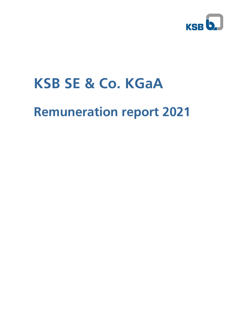

# **KSB SE & Co. KGaA**

# **Remuneration report 2021**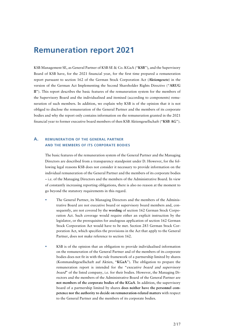# **Remuneration report 2021**

KSB Management SE, as General Partner of KSB SE & Co. KGaA ("**KSB**"), and the Supervisory Board of KSB have, for the 2021 financial year, for the first time prepared a remuneration report pursuant to section 162 of the German Stock Corporation Act (**Aktiengesetz**) in the version of the German Act Implementing the Second Shareholder Rights Directive ("**ARUG II**"). This report describes the basic features of the remuneration system for the members of the Supervisory Board and the individualised and itemised (according to components) remuneration of such members. In addition, we explain why KSB is of the opinion that it is not obliged to disclose the remuneration of the General Partner and the members of its corporate bodies and why the report only contains information on the remuneration granted in the 2021 financial year to former executive board members of then KSB Aktiengesellschaft ("**KSB AG**").

## **A. REMUNERATION OF THE GENERAL PARTNER AND THE MEMBERS OF ITS CORPORATE BODIES**

The basic features of the remuneration system of the General Partner and the Managing Directors are described from a transparency standpoint under D. However, for the following legal reasons KSB does not consider it necessary to provide information on the individual remuneration of the General Partner and the members of its corporate bodies – i.e. of the Managing Directors and the members of the Administrative Board. In view of constantly increasing reporting obligations, there is also no reason at the moment to go beyond the statutory requirements in this regard.

- The General Partner, its Managing Directors and the members of the Administrative Board are not executive board or supervisory board members and, consequently, are not covered by the **wording** of section 162 German Stock Corporation Act. Such coverage would require either an explicit instruction by the legislator, or the prerequisites for analogous application of section 162 German Stock Corporation Act would have to be met. Section 283 German Stock Corporation Act, which specifies the provisions in the Act that apply to the General Partner, does not make reference to section 162.
- KSB is of the opinion that an obligation to provide individualised information on the remuneration of the General Partner and of the members of its corporate bodies does not fit in with the rule framework of a partnership limited by shares (Kommanditgesellschaft auf Aktien, "**KGaA**"). The obligation to prepare the remuneration report is intended for the "executive board and supervisory board" of the listed company, i.e. for their bodies. However, the Managing Directors and the members of the Administrative Board of the General Partner are **not members of the corporate bodies of the KGaA**. In addition, the supervisory board of a partnership limited by shares **does neither have the personnel competence nor the authority to decide on remuneration-related matters** with respect to the General Partner and the members of its corporate bodies.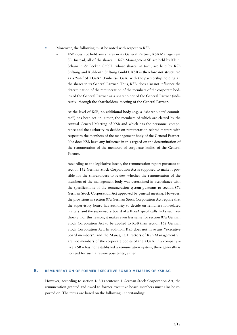- Moreover, the following must be noted with respect to KSB:
	- KSB does not hold any shares in its General Partner, KSB Management SE. Instead, all of the shares in KSB Management SE are held by Klein, Schanzlin & Becker GmbH, whose shares, in turn, are held by KSB Stiftung and Kühborth Stiftung GmbH. **KSB is therefore not structured as a "unified KGaA**" (Einheits-KGaA) with the partnership holding all the shares in its General Partner. Thus, KSB, does also not influence the determination of the remuneration of the members of the corporate bodies of the General Partner as a shareholder of the General Partner (indirectly) through the shareholders' meeting of the General Partner.
	- ň At the level of KSB, **no additional body** (e.g. a "shareholders' committee") has been set up, either, the members of which are elected by the Annual General Meeting of KSB and which has the personnel competence and the authority to decide on remuneration-related matters with respect to the members of the management body of the General Partner. Nor does KSB have any influence in this regard on the determination of the remuneration of the members of corporate bodies of the General Partner.
	- ň According to the legislative intent, the remuneration report pursuant to section 162 German Stock Corporation Act is supposed to make it possible for the shareholders to review whether the remuneration of the members of the management body was determined in accordance with the specifications of **the remuneration system pursuant to section 87a German Stock Corporation Act** approved by general meeting. However, the provisions in section 87a German Stock Corporation Act require that the supervisory board has authority to decide on remuneration-related matters, and the supervisory board of a KGaA specifically lacks such authority. For this reason, it makes even less sense for section 87a German Stock Corporation Act to be applied to KSB than section 162 German Stock Corporation Act. In addition, KSB does not have any "executive board members", and the Managing Directors of KSB Management SE are not members of the corporate bodies of the KGaA. If a company – like KSB – has not established a remuneration system, there generally is no need for such a review possibility, either.

#### **B. REMUNERATION OF FORMER EXECUTIVE BOARD MEMBERS OF KSB AG**

However, according to section 162(1) sentence 1 German Stock Corporation Act, the remuneration granted and owed to former executive board members must also be reported on. The terms are based on the following understanding: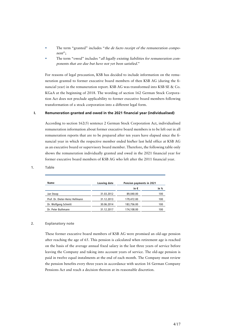- The term "granted" includes "the de facto receipt of the remuneration component";
- The term "owed" includes "all legally existing liabilities for remuneration components that are due but have not yet been satisfied."

For reasons of legal precaution, KSB has decided to include information on the remuneration granted to former executive board members of then KSB AG (during the financial year) in the remuneration report. KSB AG was transformed into KSB SE & Co. KGaA at the beginning of 2018. The wording of section 162 German Stock Corporation Act does not preclude applicability to former executive board members following transformation of a stock corporation into a different legal form.

#### **I. Remuneration granted and owed in the 2021 financial year (individualised)**

According to section 162(5) sentence 2 German Stock Corporation Act, individualised remuneration information about former executive board members is to be left out in all remuneration reports that are to be prepared after ten years have elapsed since the financial year in which the respective member ended his/her last held office at KSB AG as an executive board or supervisory board member. Therefore, the following table only shows the remuneration individually granted and owed in the 2021 financial year for former executive board members of KSB AG who left after the 2011 financial year.

| Name                            | Leaving date | Pension payments in 2021 |      |
|---------------------------------|--------------|--------------------------|------|
|                                 |              | in €                     | in % |
| Jan Stoop                       | 31.03.2012   | 89.040.00                | 100  |
| Prof. Dr. Dieter-Heinz Hellmann | 31.12.2013   | 179,472.00               | 100  |
| Dr. Wolfgang Schmitt            | 30.06.2014   | 183,756.00               | 100  |
| Dr. Peter Buthmann              | 31.12.2017   | 174,108.00               | 100  |

### **1. Table**

#### **2. Explanatory note**

These former executive board members of KSB AG were promised an old-age pension after reaching the age of 65. This pension is calculated when retirement age is reached on the basis of the average annual fixed salary in the last three years of service before leaving the Company and taking into account years of service. The old-age pension is paid in twelve equal instalments at the end of each month. The Company must review the pension benefits every three years in accordance with section 16 German Company Pensions Act and reach a decision thereon at its reasonable discretion.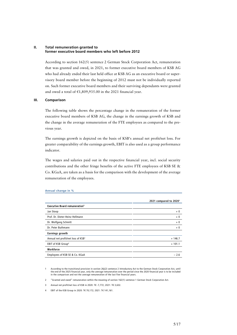#### **II. Total remuneration granted to former executive board members who left before 2012**

According to section 162(5) sentence 2 German Stock Corporation Act, remuneration that was granted and owed, in 2021, to former executive board members of KSB AG who had already ended their last held office at KSB AG as an executive board or supervisory board member before the beginning of 2012 must not be individually reported on. Such former executive board members and their surviving dependants were granted and owed a total of  $E1,809,935.00$  in the 2021 financial year.

#### **III. Comparison**

The following table shows the percentage change in the remuneration of the former executive board members of KSB AG, the change in the earnings growth of KSB and the change in the average remuneration of the FTE employees as compared to the previous year.

The earnings growth is depicted on the basis of KSB's annual net profit/net loss. For greater comparability of the earnings growth, EBIT is also used as a group performance indicator.

The wages and salaries paid out in the respective financial year, incl. social security contributions and the other fringe benefits of the active FTE employees of KSB SE & Co. KGaA, are taken as a basis for the comparison with the development of the average remuneration of the employees.

|                                                 | 2021 compared to 2020 <sup>1</sup> |
|-------------------------------------------------|------------------------------------|
| <b>Executive Board remuneration<sup>2</sup></b> |                                    |
| Jan Stoop                                       | $+0$                               |
| Prof. Dr. Dieter-Heinz Hellmann                 | $+0$                               |
| Dr. Wolfgang Schmitt                            | $+0$                               |
| Dr. Peter Buthmann                              | $+0$                               |
| <b>Earnings growth</b>                          |                                    |
| Annual net profit/net loss of KSB <sup>3</sup>  | $+146.7$                           |
| EBIT of KSB Group <sup>4</sup>                  | $+101.1$                           |
| Workforce                                       |                                    |
| Employees of KSB SE & Co. KGaA                  | $-2.6$                             |

#### **Annual change in %**

1 According to the transitional provision in section 26j(2) sentence 2 Introductory Act to the German Stock Corporation Act, until the end of the 2025 financial year, only the average remuneration over the period since the 2020 financial year is to be included<br>in the comparison and not the average remuneration of the last five financial years.

2 "Granted and owed" remuneration within the meaning of section 162(1) sentence 1 German Stock Corporation Act.

3 Annual net profit/net loss of KSB in 2020: T€ -7,772; 2021: T€ 3,632.

4 EBIT of the KSB Group in 2020: T€ 70,172; 2021: T€ 141,161.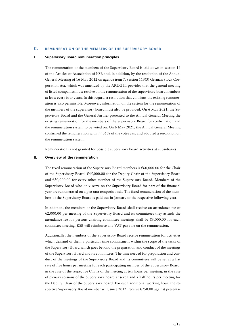#### **C. REMUNERATION OF THE MEMBERS OF THE SUPERVISORY BOARD**

#### **I. Supervisory Board remuneration principles**

The remuneration of the members of the Supervisory Board is laid down in section 14 of the Articles of Association of KSB and, in addition, by the resolution of the Annual General Meeting of 16 May 2012 on agenda item 7. Section 113(3) German Stock Corporation Act, which was amended by the ARUG II, provides that the general meeting of listed companies must resolve on the remuneration of the supervisory board members at least every four years. In this regard, a resolution that confirms the existing remuneration is also permissible. Moreover, information on the system for the remuneration of the members of the supervisory board must also be provided. On 6 May 2021, the Supervisory Board and the General Partner presented to the Annual General Meeting the existing remuneration for the members of the Supervisory Board for confirmation and the remuneration system to be voted on. On 6 May 2021, the Annual General Meeting confirmed the remuneration with 99.06% of the votes cast and adopted a resolution on the remuneration system.

Remuneration is not granted for possible supervisory board activities at subsidiaries.

#### **II. Overview of the remuneration**

The fixed remuneration of the Supervisory Board members is  $\epsilon$ 60,000.00 for the Chair of the Supervisory Board,  $\epsilon$ 45,000.00 for the Deputy Chair of the Supervisory Board and  $E30,000.00$  for every other member of the Supervisory Board. Members of the Supervisory Board who only serve on the Supervisory Board for part of the financial year are remunerated on a pro rata temporis basis. The fixed remuneration of the members of the Supervisory Board is paid out in January of the respective following year.

In addition, the members of the Supervisory Board shall receive an attendance fee of  $E2,000.00$  per meeting of the Supervisory Board and its committees they attend; the attendance fee for persons chairing committee meetings shall be  $\epsilon$ 3,000.00 for each committee meeting. KSB will reimburse any VAT payable on the remuneration.

Additionally, the members of the Supervisory Board receive remuneration for activities which demand of them a particular time commitment within the scope of the tasks of the Supervisory Board which goes beyond the preparation and conduct of the meetings of the Supervisory Board and its committees. The time needed for preparation and conduct of the meetings of the Supervisory Board and its committees will be set at a flat rate of five hours per meeting for each participating member of the Supervisory Board, in the case of the respective Chairs of the meeting at ten hours per meeting, in the case of plenary sessions of the Supervisory Board at seven and a half hours per meeting for the Deputy Chair of the Supervisory Board. For each additional working hour, the respective Supervisory Board member will, since 2012, receive €250.00 against presenta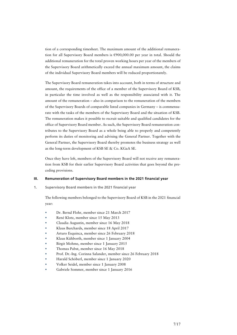tion of a corresponding timesheet. The maximum amount of the additional remuneration for all Supervisory Board members is  $\epsilon$ 900,000.00 per year in total. Should the additional remuneration for the total proven working hours per year of the members of the Supervisory Board arithmetically exceed the annual maximum amount, the claims of the individual Supervisory Board members will be reduced proportionately.

The Supervisory Board remuneration takes into account, both in terms of structure and amount, the requirements of the office of a member of the Supervisory Board of KSB, in particular the time involved as well as the responsibility associated with it. The amount of the remuneration – also in comparison to the remuneration of the members of the Supervisory Boards of comparable listed companies in Germany – is commensurate with the tasks of the members of the Supervisory Board and the situation of KSB. The remuneration makes it possible to recruit suitable and qualified candidates for the office of Supervisory Board member. As such, the Supervisory Board remuneration contributes to the Supervisory Board as a whole being able to properly and competently perform its duties of monitoring and advising the General Partner. Together with the General Partner, the Supervisory Board thereby promotes the business strategy as well as the long-term development of KSB SE & Co. KGaA SE.

Once they have left, members of the Supervisory Board will not receive any remuneration from KSB for their earlier Supervisory Board activities that goes beyond the preceding provisions.

#### **III. Remuneration of Supervisory Board members in the 2021 financial year**

**1. Supervisory Board members in the 2021 financial year** 

The following members belonged to the Supervisory Board of KSB in the 2021 financial year:

- Dr. Bernd Flohr, member since 21 March 2017
- René Klotz, member since 15 May 2013
- Claudia Augustin, member since 16 May 2018
- Klaus Burchards, member since 18 April 2017
- Arturo Esquinca, member since 26 February 2018
- Klaus Kühborth, member since 1 January 2004
- Birgit Mohme, member since 1 January 2015
- Thomas Pabst, member since 16 May 2018
- Prof. Dr.-Ing. Corinna Salander, member since 26 February 2018
- Harald Schöberl, member since 1 January 2020
- Volker Seidel, member since 1 January 2008
- Gabriele Sommer, member since 1 January 2016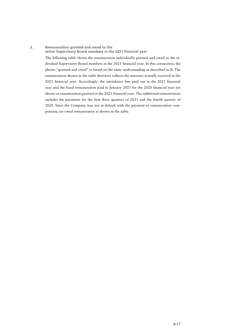#### **2. Remuneration granted and owed to the active Supervisory Board members in the 2021 financial year**

The following table shows the remuneration individually granted and owed to the individual Supervisory Board members in the 2021 financial year. In this connection, the phrase "granted and owed" is based on the same understanding as described in B. The remuneration shown in the table therefore reflects the amounts actually received in the 2021 financial year. Accordingly, the attendance fees paid out in the 2021 financial year and the fixed remuneration paid in January 2021 for the 2020 financial year are shown as remuneration granted in the 2021 financial year. The additional remuneration includes the payments for the first three quarters of 2021 and the fourth quarter of 2020. Since the Company was not in default with the payment of remuneration components, no owed remuneration is shown in the table.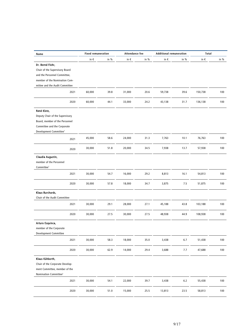| Name                               | <b>Fixed remuneration</b> |      | Attendance fee |      | <b>Additional remuneration</b> |         | Total    |        |
|------------------------------------|---------------------------|------|----------------|------|--------------------------------|---------|----------|--------|
|                                    | in $\epsilon$             | in % | in $\epsilon$  | in % | in $\epsilon$                  | in %    | in $\in$ | in $%$ |
| Dr. Bernd Flohr,                   |                           |      |                |      |                                |         |          |        |
| Chair of the Supervisory Board     |                           |      |                |      |                                |         |          |        |
| and the Personnel Committee,       |                           |      |                |      |                                |         |          |        |
| member of the Nomination Com-      |                           |      |                |      |                                |         |          |        |
| mittee and the Audit Committee     |                           |      |                |      |                                |         |          |        |
| 2021                               | 60,000                    | 39.8 | 31,000         | 20.6 | 59,738                         | 39.6    | 150,738  | 100    |
| 2020                               | 60,000                    | 44.1 | 33,000         | 24.2 | 43,138                         | 31.7    | 136,138  | 100    |
| René Klotz,                        |                           |      |                |      |                                |         |          |        |
| Deputy Chair of the Supervisory    |                           |      |                |      |                                |         |          |        |
| Board, member of the Personnel     |                           |      |                |      |                                |         |          |        |
| Committee and the Corporate        |                           |      |                |      |                                |         |          |        |
| Development Committee <sup>1</sup> |                           |      |                |      |                                |         |          |        |
| 2021                               | 45,000                    | 58.6 | 24,000         | 31.3 | 7,763                          | 10.1    | 76,763   | 100    |
| 2020                               | 30,000                    | 51.8 | 20,000         | 34.5 | 7,938                          | 13.7    | 57,938   | 100    |
| Claudia Augustin,                  |                           |      |                |      |                                |         |          |        |
| member of the Personnel            |                           |      |                |      |                                |         |          |        |
| Committee <sup>1</sup>             |                           |      |                |      |                                |         |          |        |
| 2021                               | 30,000                    | 54.7 | 16,000         | 29.2 | 8,813                          | 16.1    | 54,813   | 100    |
| 2020                               | 30,000                    | 57.8 | 18,000         | 34.7 | 3,875                          | 7.5     | 51,875   | 100    |
| Klaus Burchards,                   |                           |      |                |      |                                |         |          |        |
| Chair of the Audit Committee       |                           |      |                |      |                                |         |          |        |
| 2021                               | 30,000                    | 29.1 | 28,000         | 27.1 | 45,188                         | 43.8    | 103,188  | 100    |
|                                    |                           |      |                |      |                                |         |          |        |
| 2020                               | 30,000                    | 27.5 | 30,000         | 27.5 | 48,938                         | 44.9    | 108,938  | 100    |
| Arturo Esquinca,                   |                           |      |                |      |                                |         |          |        |
| member of the Corporate            |                           |      |                |      |                                |         |          |        |
| <b>Development Committee</b>       |                           |      |                |      |                                |         |          |        |
| 2021                               | 30,000                    | 58.3 | 18,000         | 35.0 | 3,438                          | $6.7$   | 51,438   | 100    |
| 2020                               | 30,000                    | 62.9 | 14,000         | 29.4 | 3,688                          | 7.7     | 47,688   | 100    |
| Klaus Kühborth,                    |                           |      |                |      |                                |         |          |        |
| Chair of the Corporate Develop-    |                           |      |                |      |                                |         |          |        |
| ment Committee, member of the      |                           |      |                |      |                                |         |          |        |
| Nomination Committee <sup>2</sup>  |                           |      |                |      |                                |         |          |        |
| 2021                               | 30,000                    | 54.1 | 22,000         | 39.7 | 3,438                          | $6.2\,$ | 55,438   | 100    |
| 2020                               | 30,000                    | 51.0 | 15,000         | 25.5 | 13,813                         | 23.5    | 58,813   | 100    |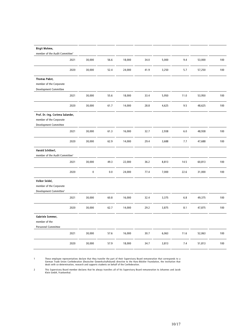| <b>Birgit Mohme,</b>                       |           |         |        |      |       |         |        |     |
|--------------------------------------------|-----------|---------|--------|------|-------|---------|--------|-----|
| member of the Audit Committee <sup>1</sup> |           |         |        |      |       |         |        |     |
| 2021                                       | 30,000    | 56.6    | 18,000 | 34.0 | 5,000 | 9.4     | 53,000 | 100 |
| 2020                                       | 30,000    | 52.4    | 24,000 | 41.9 | 3,250 | 5.7     | 57,250 | 100 |
| <b>Thomas Pabst,</b>                       |           |         |        |      |       |         |        |     |
| member of the Corporate                    |           |         |        |      |       |         |        |     |
| Development Committee                      |           |         |        |      |       |         |        |     |
| 2021                                       | 30,000    | 55.6    | 18,000 | 33.4 | 5,950 | 11.0    | 53,950 | 100 |
| 2020                                       | 30,000    | 61.7    | 14,000 | 28.8 | 4,625 | 9.5     | 48,625 | 100 |
| Prof. Dr.-Ing. Corinna Salander,           |           |         |        |      |       |         |        |     |
| member of the Corporate                    |           |         |        |      |       |         |        |     |
| Development Committee                      |           |         |        |      |       |         |        |     |
| 2021                                       | 30,000    | 61.3    | 16,000 | 32.7 | 2,938 | $6.0\,$ | 48,938 | 100 |
| 2020                                       | 30,000    | 62.9    | 14,000 | 29.4 | 3,688 | 7.7     | 47,688 | 100 |
| Harald Schöberl,                           |           |         |        |      |       |         |        |     |
| member of the Audit Committee <sup>1</sup> |           |         |        |      |       |         |        |     |
|                                            |           |         |        |      |       |         |        |     |
| 2021                                       | 30,000    | 49.3    | 22,000 | 36.2 | 8,813 | 14.5    | 60,813 | 100 |
| 2020                                       | $\pmb{0}$ | $0.0\,$ | 24,000 | 77.4 | 7,000 | 22.6    | 31,000 | 100 |
| Volker Seidel,                             |           |         |        |      |       |         |        |     |
| member of the Corporate                    |           |         |        |      |       |         |        |     |
| Development Committee <sup>1</sup>         |           |         |        |      |       |         |        |     |
| 2021                                       | 30,000    | 60.8    | 16,000 | 32.4 | 3,375 | 6.8     | 49,375 | 100 |
| 2020                                       | 30,000    | 62.7    | 14,000 | 29.2 | 3,875 | 8.1     | 47,875 | 100 |
| Gabriele Sommer,                           |           |         |        |      |       |         |        |     |
| member of the                              |           |         |        |      |       |         |        |     |
| <b>Personnel Committee</b>                 |           |         |        |      |       |         |        |     |
| 2021                                       | 30,000    | 57.6    | 16,000 | 30.7 | 6,063 | 11.6    | 52,063 | 100 |
| 2020                                       | 30,000    | 57.9    | 18,000 | 34.7 | 3,813 | 7.4     | 51,813 | 100 |
|                                            |           |         |        |      |       |         |        |     |

These employee representatives declare that they transfer the part of their Supervisory Board remuneration that corresponds to a<br>German Trade Union Confederation (Deutscher Gewerkschaftsbund) directive to the Hans-Böckler

2 This Supervisory Board member declares that he always transfers all of his Supervisory Board remuneration to Johannes und Jacob Klein GmbH, Frankenthal.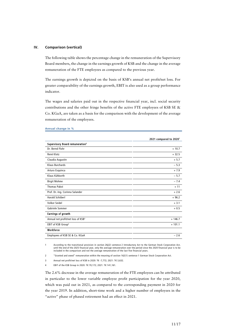#### **IV. Comparison (vertical)**

The following table shows the percentage change in the remuneration of the Supervisory Board members, the change in the earnings growth of KSB and the change in the average remuneration of the FTE employees as compared to the previous year.

The earnings growth is depicted on the basis of KSB's annual net profit/net loss. For greater comparability of the earnings growth, EBIT is also used as a group performance indicator.

The wages and salaries paid out in the respective financial year, incl. social security contributions and the other fringe benefits of the active FTE employees of KSB SE & Co. KGaA, are taken as a basis for the comparison with the development of the average remuneration of the employees.

|                                                | 2021 compared to 2020 <sup>1</sup> |
|------------------------------------------------|------------------------------------|
| Supervisory Board remuneration <sup>2</sup>    |                                    |
| Dr. Bernd Flohr                                | $+10.7$                            |
| René Klotz                                     | $+32.5$                            |
| Claudia Augustin                               | $+5.7$                             |
| <b>Klaus Burchards</b>                         | $-5.3$                             |
| Arturo Esquinca                                | $+7.9$                             |
| Klaus Kühborth                                 | $-5.7$                             |
| <b>Birgit Mohme</b>                            | $-7.4$                             |
| <b>Thomas Pabst</b>                            | $+11$                              |
| Prof. Dr.-Ing. Corinna Salander                | $+2.6$                             |
| Harald Schöberl                                | $+96.2$                            |
| Volker Seidel                                  | $+3.1$                             |
| Gabriele Sommer                                | $+0.5$                             |
| Earnings of growth                             |                                    |
| Annual net profit/net loss of KSB <sup>3</sup> | $+ 146.7$                          |
| EBIT of KSB Group <sup>4</sup>                 | $+101.1$                           |
| Workforce                                      |                                    |
| Employees of KSB SE & Co. KGaA                 | $-2.6$                             |

#### **Annual change in %**

1 According to the transitional provision in section 26j(2) sentence 2 Introductory Act to the German Stock Corporation Act, until the end of the 2025 financial year, only the average remuneration over the period since the 2020 financial year is to be<br>included in the comparison and not the average remuneration of the last five financial years.

2 "Granted and owed" remuneration within the meaning of section 162(1) sentence 1 German Stock Corporation Act.

3 Annual net profit/net loss of KSB in 2020: T€ -7,772; 2021: T€ 3,632.

4 EBIT of the KSB Group in 2020: T€ 70.172: 2021: T€ 141.161.

The 2.6% decrease in the average remuneration of the FTE employees can be attributed in particular to the lower variable employee profit participation for the year 2020, which was paid out in 2021, as compared to the corresponding payment in 2020 for the year 2019. In addition, short-time work and a higher number of employees in the "active" phase of phased retirement had an effect in 2021.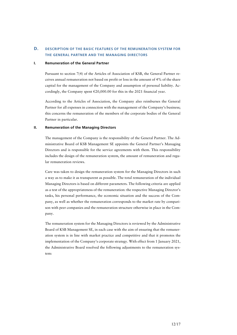## **D. DESCRIPTION OF THE BASIC FEATURES OF THE REMUNERATION SYSTEM FOR THE GENERAL PARTNER AND THE MANAGING DIRECTORS**

#### **I. Remuneration of the General Partner**

Pursuant to section 7(4) of the Articles of Association of KSB, the General Partner receives annual remuneration not based on profit or loss in the amount of 4% of the share capital for the management of the Company and assumption of personal liability. Accordingly, the Company spent  $\epsilon$ 20,000.00 for this in the 2021 financial year.

According to the Articles of Association, the Company also reimburses the General Partner for all expenses in connection with the management of the Company's business; this concerns the remuneration of the members of the corporate bodies of the General Partner in particular.

#### **II. Remuneration of the Managing Directors**

The management of the Company is the responsibility of the General Partner. The Administrative Board of KSB Management SE appoints the General Partner's Managing Directors and is responsible for the service agreements with them. This responsibility includes the design of the remuneration system, the amount of remuneration and regular remuneration reviews.

Care was taken to design the remuneration system for the Managing Directors in such a way as to make it as transparent as possible. The total remuneration of the individual Managing Directors is based on different parameters. The following criteria are applied as a test of the appropriateness of the remuneration: the respective Managing Director's tasks, his personal performance, the economic situation and the success of the Company, as well as whether the remuneration corresponds to the market rate by comparison with peer companies and the remuneration structure otherwise in place in the Company.

The remuneration system for the Managing Directors is reviewed by the Administrative Board of KSB Management SE, in each case with the aim of ensuring that the remuneration system is in line with market practice and competitive and that it promotes the implementation of the Company's corporate strategy. With effect from 1 January 2021, the Administrative Board resolved the following adjustments to the remuneration system: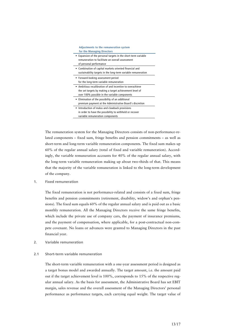| <b>Adjustments to the remuneration system</b><br>for the Managing Directors                                                                                           |  |
|-----------------------------------------------------------------------------------------------------------------------------------------------------------------------|--|
| ■ Expansion of the personal targets in the short-term variable<br>remuneration to facilitate an overall assessment<br>of personal performance                         |  |
| • Combination of capital markets oriented financial and<br>sustainability targets in the long-term variable remuneration                                              |  |
| ■ Forward-looking assessment period<br>for the long-term variable remuneration                                                                                        |  |
| • Ambitious recalibration of and incentive to overachieve<br>the set targets by making a target achievement level of<br>over 100% possible in the variable components |  |
| . Elimination of the possibility of an additional<br>premium payment at the Administrative Board's discretion                                                         |  |
| Introduction of malus and clawback provisions<br>in order to have the possibility to withhold or recover<br>variable remuneration components                          |  |

The remuneration system for the Managing Directors consists of non-performance-related components – fixed sum, fringe benefits and pension commitments – as well as short-term and long-term variable remuneration components. The fixed sum makes up 60% of the regular annual salary (total of fixed and variable remuneration). Accordingly, the variable remuneration accounts for 40% of the regular annual salary, with the long-term variable remuneration making up about two-thirds of that. This means that the majority of the variable remuneration is linked to the long-term development of the company.

#### **1. Fixed remuneration**

The fixed remuneration is not performance-related and consists of a fixed sum, fringe benefits and pension commitments (retirement, disability, widow's and orphan's pensions). The fixed sum equals 60% of the regular annual salary and is paid out as a basic monthly remuneration. All the Managing Directors receive the same fringe benefits, which include the private use of company cars, the payment of insurance premiums, and the payment of compensation, where applicable, for a post-contractual non-compete covenant. No loans or advances were granted to Managing Directors in the past financial year.

**2. Variable remuneration** 

#### **2.1 Short-term variable remuneration**

The short-term variable remuneration with a one-year assessment period is designed as a target bonus model and awarded annually. The target amount, i.e. the amount paid out if the target achievement level is 100%, corresponds to 15% of the respective regular annual salary. As the basis for assessment, the Administrative Board has set EBIT margin, sales revenue and the overall assessment of the Managing Directors' personal performance as performance targets, each carrying equal weight. The target value of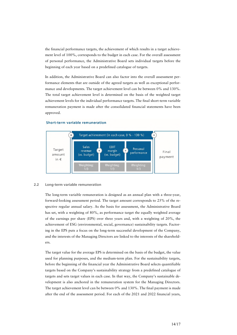the financial performance targets, the achievement of which results in a target achievement level of 100%, corresponds to the budget in each case. For the overall assessment of personal performance, the Administrative Board sets individual targets before the beginning of each year based on a predefined catalogue of targets.

In addition, the Administrative Board can also factor into the overall assessment performance elements that are outside of the agreed targets as well as exceptional performance and developments. The target achievement level can be between 0% and 130%. The total target achievement level is determined on the basis of the weighted target achievement levels for the individual performance targets. The final short-term variable remuneration payment is made after the consolidated financial statements have been approved.



#### **Short-term variable remuneration**

#### **2.2 Long-term variable remuneration**

The long-term variable remuneration is designed as an annual plan with a three-year, forward-looking assessment period. The target amount corresponds to 25% of the respective regular annual salary. As the basis for assessment, the Administrative Board has set, with a weighting of 80%, as performance target the equally weighted average of the earnings per share (EPS) over three years and, with a weighting of 20%, the achievement of ESG (environmental, social, governance) sustainability targets. Factoring in the EPS puts a focus on the long-term successful development of the Company, and the interests of the Managing Directors are linked to the interests of the shareholders.

The target value for the average EPS is determined on the basis of the budget, the value used for planning purposes, and the medium-term plan. For the sustainability targets, before the beginning of the financial year the Administrative Board selects quantifiable targets based on the Company's sustainability strategy from a predefined catalogue of targets and sets target values in each case. In that way, the Company's sustainable development is also anchored in the remuneration system for the Managing Directors. The target achievement level can be between 0% and 130%. The final payment is made after the end of the assessment period. For each of the 2021 and 2022 financial years,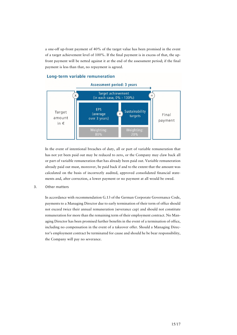a one-off up-front payment of 40% of the target value has been promised in the event of a target achievement level of 100%. If the final payment is in excess of that, the upfront payment will be netted against it at the end of the assessment period; if the final payment is less than that, no repayment is agreed.

### Long-term variable remuneration



In the event of intentional breaches of duty, all or part of variable remuneration that has not yet been paid out may be reduced to zero, or the Company may claw back all or part of variable remuneration that has already been paid out. Variable remuneration already paid out must, moreover, be paid back if and to the extent that the amount was calculated on the basis of incorrectly audited, approved consolidated financial statements and, after correction, a lower payment or no payment at all would be owed.

**3. Other matters** 

In accordance with recommendation G.13 of the German Corporate Governance Code, payments to a Managing Director due to early termination of their term of office should not exceed twice their annual remuneration (severance cap) and should not constitute remuneration for more than the remaining term of their employment contract. No Managing Director has been promised further benefits in the event of a termination of office, including no compensation in the event of a takeover offer. Should a Managing Director's employment contract be terminated for cause and should he be bear responsibility, the Company will pay no severance.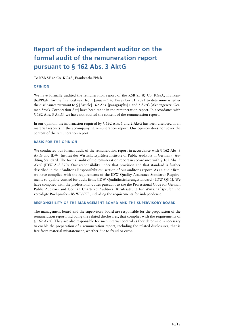# **Report of the independent auditor on the formal audit of the remuneration report pursuant to § 162 Abs. 3 AktG**

To KSB SE & Co. KGaA, Frankenthal/Pfalz

#### **OPINION**

We have formally audited the remuneration report of the KSB SE & Co. KGaA, Frankenthal/Pfalz, for the financial year from January 1 to December 31, 2021 to determine whether the disclosures pursuant to § [Article] 162 Abs. [paragraphs] 1 and 2 AktG [Aktiengesetz: German Stock Corporation Act] have been made in the remuneration report. In accordance with § 162 Abs. 3 AktG, we have not audited the content of the remuneration report.

In our opinion, the information required by § 162 Abs. 1 and 2 AktG has been disclosed in all material respects in the accompanying remuneration report. Our opinion does not cover the content of the remuneration report.

#### **BASIS FOR THE OPINION**

We conducted our formal audit of the remuneration report in accordance with § 162 Abs. 3 AktG and IDW [Institut der Wirtschaftsprüfer: Institute of Public Auditors in Germany] Auditing Standard: The formal audit of the remuneration report in accordance with § 162 Abs. 3 AktG (IDW AuS 870). Our responsibility under that provision and that standard is further described in the "Auditor's Responsibilities" section of our auditor's report. As an audit firm, we have complied with the requirements of the IDW Quality Assurance Standard: Requirements to quality control for audit firms [IDW Qualitätssicherungsstandard - IDW QS 1]. We have complied with the professional duties pursuant to the the Professional Code for German Public Auditors and German Chartered Auditors [Berufssatzung für Wirtschaftsprüfer und vereidigte Buchprüfer - BS WP/vBP], including the requirements for independence.

#### **RESPONSIBILITY OF THE MANAGEMENT BOARD AND THE SUPERVISORY BOARD**

The management board and the supervisory board are responsible for the preparation of the remuneration report, including the related disclosures, that complies with the requirements of § 162 AktG. They are also responsible for such internal control as they determine is necessary to enable the preparation of a remuneration report, including the related disclosures, that is free from material misstatement, whether due to fraud or error.